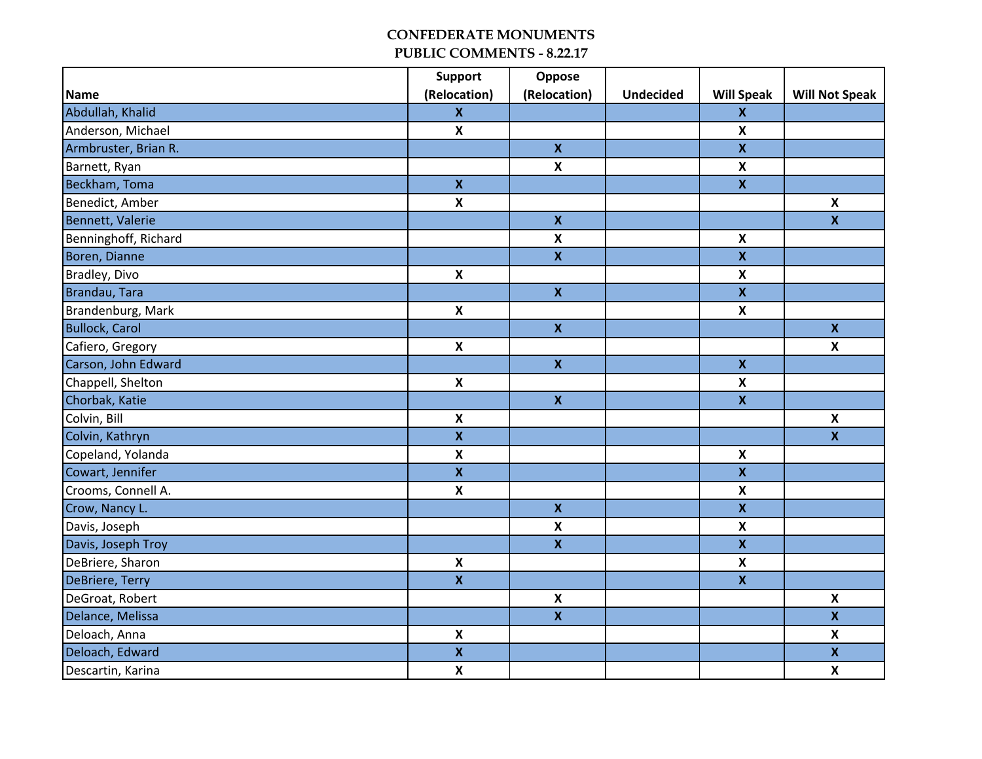|                       | <b>Support</b>            | Oppose                    |                  |                           |                           |
|-----------------------|---------------------------|---------------------------|------------------|---------------------------|---------------------------|
| Name                  | (Relocation)              | (Relocation)              | <b>Undecided</b> | <b>Will Speak</b>         | <b>Will Not Speak</b>     |
| Abdullah, Khalid      | $\mathbf{x}$              |                           |                  | $\boldsymbol{\mathsf{X}}$ |                           |
| Anderson, Michael     | $\pmb{\mathsf{x}}$        |                           |                  | $\pmb{\mathsf{X}}$        |                           |
| Armbruster, Brian R.  |                           | $\mathbf{x}$              |                  | $\mathbf x$               |                           |
| Barnett, Ryan         |                           | $\boldsymbol{\mathsf{X}}$ |                  | $\pmb{\mathsf{X}}$        |                           |
| Beckham, Toma         | $\mathbf{x}$              |                           |                  | $\pmb{\mathsf{x}}$        |                           |
| Benedict, Amber       | $\boldsymbol{\mathsf{x}}$ |                           |                  |                           | $\boldsymbol{\mathsf{X}}$ |
| Bennett, Valerie      |                           | $\overline{\mathbf{X}}$   |                  |                           | $\mathbf{x}$              |
| Benninghoff, Richard  |                           | $\boldsymbol{\mathsf{X}}$ |                  | $\boldsymbol{\mathsf{x}}$ |                           |
| Boren, Dianne         |                           | $\overline{\mathbf{X}}$   |                  | $\pmb{\mathsf{X}}$        |                           |
| Bradley, Divo         | $\pmb{\mathsf{X}}$        |                           |                  | $\pmb{\mathsf{X}}$        |                           |
| Brandau, Tara         |                           | $\mathbf{x}$              |                  | $\mathbf x$               |                           |
| Brandenburg, Mark     | $\boldsymbol{\mathsf{X}}$ |                           |                  | $\boldsymbol{\mathsf{X}}$ |                           |
| <b>Bullock, Carol</b> |                           | $\mathbf{x}$              |                  |                           | $\mathbf{x}$              |
| Cafiero, Gregory      | $\boldsymbol{\mathsf{X}}$ |                           |                  |                           | $\boldsymbol{\mathsf{x}}$ |
| Carson, John Edward   |                           | $\mathbf{X}$              |                  | $\pmb{\mathsf{x}}$        |                           |
| Chappell, Shelton     | $\boldsymbol{\mathsf{X}}$ |                           |                  | $\pmb{\mathsf{X}}$        |                           |
| Chorbak, Katie        |                           | $\mathbf{x}$              |                  | $\mathbf x$               |                           |
| Colvin, Bill          | $\pmb{\mathsf{X}}$        |                           |                  |                           | $\pmb{\mathsf{X}}$        |
| Colvin, Kathryn       | $\mathbf{x}$              |                           |                  |                           | $\overline{\mathbf{X}}$   |
| Copeland, Yolanda     | $\boldsymbol{\mathsf{x}}$ |                           |                  | $\boldsymbol{\mathsf{X}}$ |                           |
| Cowart, Jennifer      | $\mathbf{x}$              |                           |                  | $\mathbf{x}$              |                           |
| Crooms, Connell A.    | $\boldsymbol{\mathsf{x}}$ |                           |                  | $\boldsymbol{\mathsf{x}}$ |                           |
| Crow, Nancy L.        |                           | $\mathbf{x}$              |                  | $\pmb{\mathsf{X}}$        |                           |
| Davis, Joseph         |                           | $\mathbf x$               |                  | $\boldsymbol{\mathsf{x}}$ |                           |
| Davis, Joseph Troy    |                           | $\mathbf{x}$              |                  | $\mathbf x$               |                           |
| DeBriere, Sharon      | $\pmb{\mathsf{X}}$        |                           |                  | $\pmb{\mathsf{X}}$        |                           |
| DeBriere, Terry       | $\mathbf x$               |                           |                  | $\mathbf x$               |                           |
| DeGroat, Robert       |                           | $\mathbf x$               |                  |                           | $\boldsymbol{\mathsf{x}}$ |
| Delance, Melissa      |                           | $\mathbf{x}$              |                  |                           | $\mathbf x$               |
| Deloach, Anna         | $\pmb{\mathsf{X}}$        |                           |                  |                           | $\boldsymbol{\mathsf{x}}$ |
| Deloach, Edward       | $\pmb{\mathsf{X}}$        |                           |                  |                           | $\pmb{\mathsf{X}}$        |
| Descartin, Karina     | $\boldsymbol{\mathsf{x}}$ |                           |                  |                           | $\boldsymbol{\mathsf{x}}$ |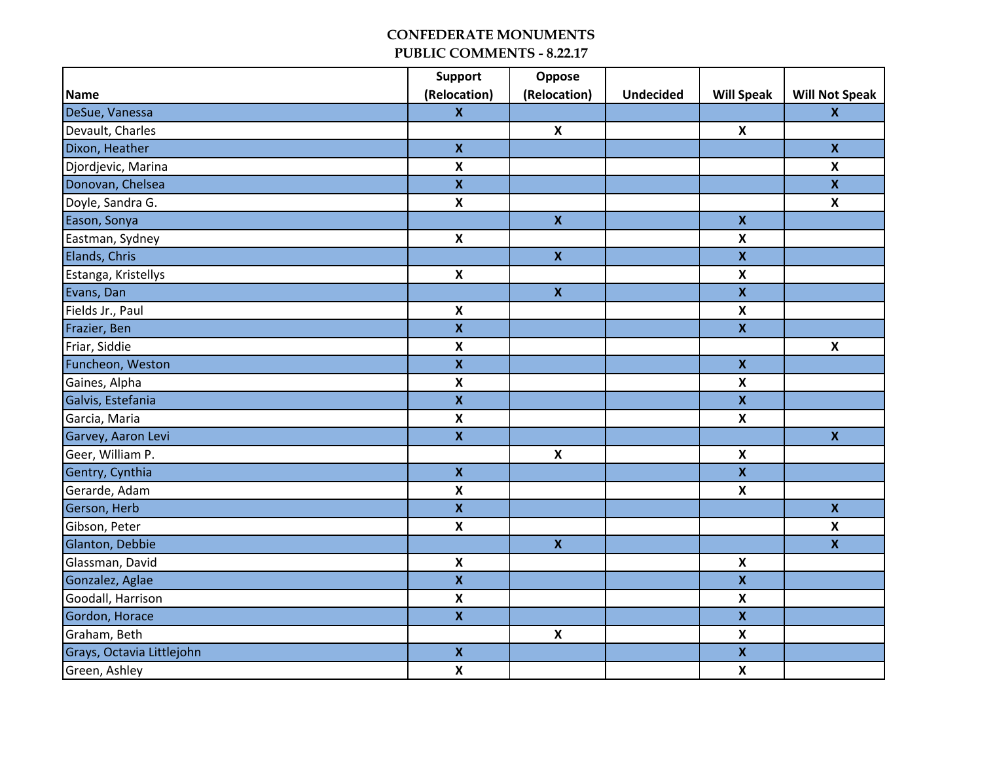|                           | <b>Support</b>            | Oppose                    |                  |                           |                           |
|---------------------------|---------------------------|---------------------------|------------------|---------------------------|---------------------------|
| Name                      | (Relocation)              | (Relocation)              | <b>Undecided</b> | <b>Will Speak</b>         | <b>Will Not Speak</b>     |
| DeSue, Vanessa            | $\mathbf{x}$              |                           |                  |                           | $\mathbf{x}$              |
| Devault, Charles          |                           | $\pmb{\mathsf{X}}$        |                  | $\boldsymbol{\mathsf{X}}$ |                           |
| Dixon, Heather            | $\mathbf{x}$              |                           |                  |                           | $\mathbf x$               |
| Djordjevic, Marina        | $\pmb{\mathsf{X}}$        |                           |                  |                           | $\boldsymbol{\mathsf{x}}$ |
| Donovan, Chelsea          | $\boldsymbol{\mathsf{X}}$ |                           |                  |                           | $\mathbf x$               |
| Doyle, Sandra G.          | $\boldsymbol{\mathsf{X}}$ |                           |                  |                           | $\boldsymbol{\mathsf{X}}$ |
| Eason, Sonya              |                           | $\mathbf{x}$              |                  | $\pmb{\mathsf{X}}$        |                           |
| Eastman, Sydney           | $\pmb{\mathsf{X}}$        |                           |                  | $\boldsymbol{x}$          |                           |
| Elands, Chris             |                           | $\boldsymbol{\mathsf{X}}$ |                  | $\pmb{\mathsf{x}}$        |                           |
| Estanga, Kristellys       | $\pmb{\mathsf{X}}$        |                           |                  | $\pmb{\mathsf{X}}$        |                           |
| Evans, Dan                |                           | $\pmb{\mathsf{X}}$        |                  | $\mathbf x$               |                           |
| Fields Jr., Paul          | $\pmb{\mathsf{X}}$        |                           |                  | $\boldsymbol{\mathsf{x}}$ |                           |
| Frazier, Ben              | $\overline{\mathbf{x}}$   |                           |                  | $\overline{\mathbf{X}}$   |                           |
| Friar, Siddie             | $\boldsymbol{\mathsf{x}}$ |                           |                  |                           | $\boldsymbol{\mathsf{x}}$ |
| Funcheon, Weston          | $\mathbf{x}$              |                           |                  | $\mathbf{x}$              |                           |
| Gaines, Alpha             | $\boldsymbol{\mathsf{X}}$ |                           |                  | $\boldsymbol{\mathsf{X}}$ |                           |
| Galvis, Estefania         | $\overline{\mathbf{x}}$   |                           |                  | $\mathbf x$               |                           |
| Garcia, Maria             | $\boldsymbol{\mathsf{x}}$ |                           |                  | $\boldsymbol{\mathsf{x}}$ |                           |
| Garvey, Aaron Levi        | $\mathbf{x}$              |                           |                  |                           | $\mathbf{x}$              |
| Geer, William P.          |                           | $\pmb{\mathsf{X}}$        |                  | $\pmb{\mathsf{X}}$        |                           |
| Gentry, Cynthia           | $\pmb{\mathsf{x}}$        |                           |                  | $\pmb{\mathsf{X}}$        |                           |
| Gerarde, Adam             | $\pmb{\mathsf{X}}$        |                           |                  | $\pmb{\mathsf{X}}$        |                           |
| Gerson, Herb              | $\mathbf x$               |                           |                  |                           | $\mathbf x$               |
| Gibson, Peter             | $\pmb{\mathsf{X}}$        |                           |                  |                           | $\boldsymbol{\mathsf{X}}$ |
| Glanton, Debbie           |                           | $\mathbf{x}$              |                  |                           | $\overline{\mathbf{x}}$   |
| Glassman, David           | $\pmb{\mathsf{X}}$        |                           |                  | $\boldsymbol{\mathsf{x}}$ |                           |
| Gonzalez, Aglae           | $\boldsymbol{\mathsf{X}}$ |                           |                  | $\mathbf x$               |                           |
| Goodall, Harrison         | $\pmb{\mathsf{X}}$        |                           |                  | $\pmb{\mathsf{X}}$        |                           |
| Gordon, Horace            | $\mathbf x$               |                           |                  | $\mathbf x$               |                           |
| Graham, Beth              |                           | $\pmb{\mathsf{X}}$        |                  | $\pmb{\mathsf{X}}$        |                           |
| Grays, Octavia Littlejohn | $\pmb{\mathsf{X}}$        |                           |                  | $\pmb{\mathsf{X}}$        |                           |
| Green, Ashley             | $\pmb{\mathsf{X}}$        |                           |                  | $\pmb{\mathsf{X}}$        |                           |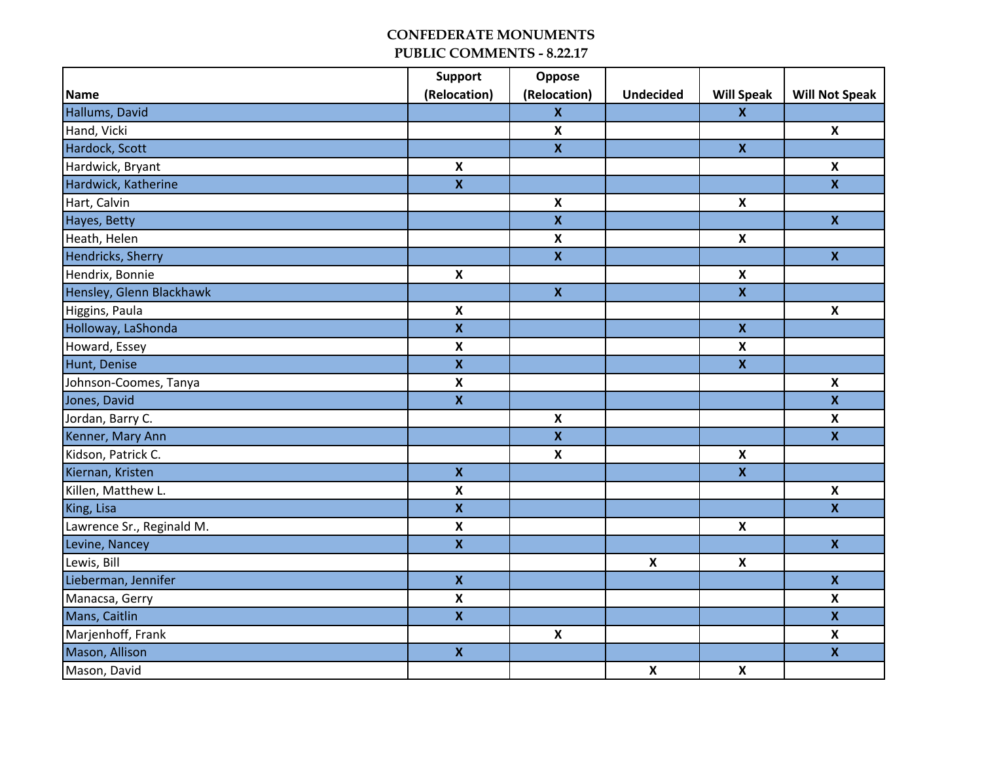|                           | <b>Support</b>            | Oppose                  |                           |                           |                           |
|---------------------------|---------------------------|-------------------------|---------------------------|---------------------------|---------------------------|
| Name                      | (Relocation)              | (Relocation)            | <b>Undecided</b>          | <b>Will Speak</b>         | <b>Will Not Speak</b>     |
| Hallums, David            |                           | $\mathbf x$             |                           | $\mathbf{x}$              |                           |
| Hand, Vicki               |                           | $\pmb{\mathsf{X}}$      |                           |                           | $\boldsymbol{\mathsf{X}}$ |
| Hardock, Scott            |                           | $\mathbf{x}$            |                           | $\mathbf{x}$              |                           |
| Hardwick, Bryant          | $\boldsymbol{\mathsf{x}}$ |                         |                           |                           | $\pmb{\times}$            |
| Hardwick, Katherine       | $\mathbf x$               |                         |                           |                           | $\mathbf x$               |
| Hart, Calvin              |                           | $\pmb{\mathsf{X}}$      |                           | $\boldsymbol{\mathsf{x}}$ |                           |
| Hayes, Betty              |                           | $\overline{\mathbf{x}}$ |                           |                           | $\overline{\mathbf{x}}$   |
| Heath, Helen              |                           | $\pmb{\mathsf{X}}$      |                           | $\pmb{\mathsf{X}}$        |                           |
| Hendricks, Sherry         |                           | $\mathbf{x}$            |                           |                           | $\mathbf{x}$              |
| Hendrix, Bonnie           | $\pmb{\mathsf{x}}$        |                         |                           | $\pmb{\mathsf{X}}$        |                           |
| Hensley, Glenn Blackhawk  |                           | $\pmb{\mathsf{X}}$      |                           | $\mathbf{x}$              |                           |
| Higgins, Paula            | $\boldsymbol{\mathsf{x}}$ |                         |                           |                           | $\boldsymbol{\mathsf{X}}$ |
| Holloway, LaShonda        | $\overline{\mathbf{X}}$   |                         |                           | $\mathbf x$               |                           |
| Howard, Essey             | $\boldsymbol{\mathsf{x}}$ |                         |                           | $\boldsymbol{\mathsf{x}}$ |                           |
| Hunt, Denise              | $\mathbf{x}$              |                         |                           | $\pmb{\mathsf{X}}$        |                           |
| Johnson-Coomes, Tanya     | $\pmb{\mathsf{X}}$        |                         |                           |                           | $\pmb{\mathsf{X}}$        |
| Jones, David              | $\overline{\mathbf{x}}$   |                         |                           |                           | $\mathbf{x}$              |
| Jordan, Barry C.          |                           | $\pmb{\mathsf{X}}$      |                           |                           | $\pmb{\times}$            |
| Kenner, Mary Ann          |                           | $\mathbf x$             |                           |                           | $\mathbf{x}$              |
| Kidson, Patrick C.        |                           | $\pmb{\mathsf{X}}$      |                           | $\pmb{\mathsf{X}}$        |                           |
| Kiernan, Kristen          | $\pmb{\mathsf{X}}$        |                         |                           | $\pmb{\mathsf{X}}$        |                           |
| Killen, Matthew L.        | $\pmb{\mathsf{X}}$        |                         |                           |                           | $\pmb{\mathsf{x}}$        |
| King, Lisa                | $\mathbf x$               |                         |                           |                           | $\boldsymbol{\mathsf{x}}$ |
| Lawrence Sr., Reginald M. | $\pmb{\mathsf{X}}$        |                         |                           | X                         |                           |
| Levine, Nancey            | $\overline{\mathbf{x}}$   |                         |                           |                           | $\bar{\mathbf{X}}$        |
| Lewis, Bill               |                           |                         | $\boldsymbol{\mathsf{x}}$ | $\boldsymbol{\mathsf{X}}$ |                           |
| Lieberman, Jennifer       | $\mathbf x$               |                         |                           |                           | $\mathbf x$               |
| Manacsa, Gerry            | $\pmb{\mathsf{X}}$        |                         |                           |                           | $\pmb{\times}$            |
| Mans, Caitlin             | $\mathbf x$               |                         |                           |                           | $\boldsymbol{\mathsf{x}}$ |
| Marjenhoff, Frank         |                           | $\pmb{\mathsf{X}}$      |                           |                           | $\boldsymbol{\mathsf{X}}$ |
| Mason, Allison            | $\pmb{\mathsf{X}}$        |                         |                           |                           | $\mathbf x$               |
| Mason, David              |                           |                         | $\boldsymbol{\mathsf{x}}$ | $\pmb{\mathsf{X}}$        |                           |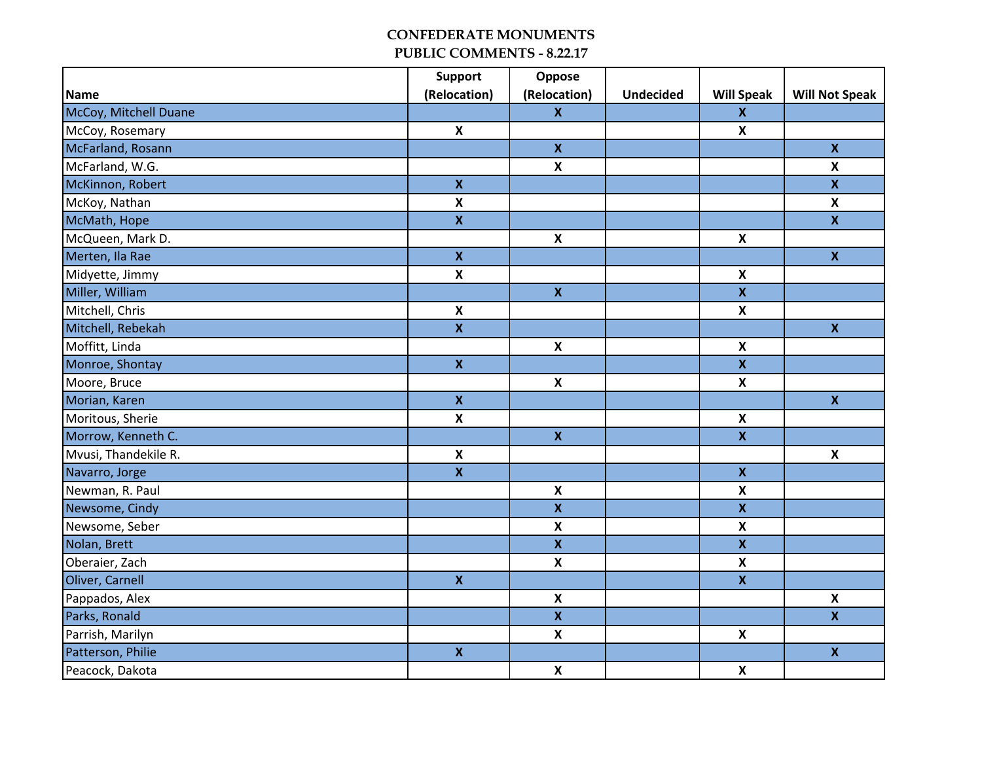|                       | <b>Support</b>            | Oppose                    |                  |                           |                           |
|-----------------------|---------------------------|---------------------------|------------------|---------------------------|---------------------------|
| Name                  | (Relocation)              | (Relocation)              | <b>Undecided</b> | <b>Will Speak</b>         | <b>Will Not Speak</b>     |
| McCoy, Mitchell Duane |                           | $\mathbf{x}$              |                  | $\boldsymbol{\mathsf{X}}$ |                           |
| McCoy, Rosemary       | $\pmb{\mathsf{X}}$        |                           |                  | $\pmb{\mathsf{X}}$        |                           |
| McFarland, Rosann     |                           | $\mathbf{x}$              |                  |                           | $\mathbf x$               |
| McFarland, W.G.       |                           | $\mathbf x$               |                  |                           | $\boldsymbol{\mathsf{x}}$ |
| McKinnon, Robert      | $\pmb{\mathsf{X}}$        |                           |                  |                           | $\pmb{\mathsf{x}}$        |
| McKoy, Nathan         | $\boldsymbol{\mathsf{x}}$ |                           |                  |                           | $\boldsymbol{\mathsf{X}}$ |
| McMath, Hope          | $\overline{\mathbf{x}}$   |                           |                  |                           | $\overline{\mathbf{x}}$   |
| McQueen, Mark D.      |                           | $\pmb{\mathsf{X}}$        |                  | $\pmb{\mathsf{X}}$        |                           |
| Merten, Ila Rae       | $\mathbf{x}$              |                           |                  |                           | $\mathbf x$               |
| Midyette, Jimmy       | $\boldsymbol{\mathsf{x}}$ |                           |                  | $\pmb{\mathsf{X}}$        |                           |
| Miller, William       |                           | $\pmb{\mathsf{X}}$        |                  | $\mathbf x$               |                           |
| Mitchell, Chris       | $\pmb{\mathsf{X}}$        |                           |                  | $\pmb{\mathsf{X}}$        |                           |
| Mitchell, Rebekah     | $\overline{\mathbf{x}}$   |                           |                  |                           | $\overline{\mathbf{x}}$   |
| Moffitt, Linda        |                           | $\boldsymbol{\mathsf{X}}$ |                  | $\boldsymbol{\mathsf{x}}$ |                           |
| Monroe, Shontay       | $\mathbf{X}$              |                           |                  | $\mathbf x$               |                           |
| Moore, Bruce          |                           | $\pmb{\mathsf{X}}$        |                  | $\pmb{\mathsf{X}}$        |                           |
| Morian, Karen         | $\overline{\mathbf{x}}$   |                           |                  |                           | $\mathbf{x}$              |
| Moritous, Sherie      | $\boldsymbol{\mathsf{x}}$ |                           |                  | $\boldsymbol{\mathsf{x}}$ |                           |
| Morrow, Kenneth C.    |                           | $\mathbf{x}$              |                  | $\pmb{\mathsf{x}}$        |                           |
| Mvusi, Thandekile R.  | $\pmb{\mathsf{X}}$        |                           |                  |                           | $\pmb{\mathsf{X}}$        |
| Navarro, Jorge        | $\pmb{\mathsf{x}}$        |                           |                  | $\pmb{\mathsf{x}}$        |                           |
| Newman, R. Paul       |                           | $\pmb{\mathsf{X}}$        |                  | $\pmb{\mathsf{X}}$        |                           |
| Newsome, Cindy        |                           | $\mathbf{x}$              |                  | $\mathbf x$               |                           |
| Newsome, Seber        |                           | $\pmb{\mathsf{X}}$        |                  | $\pmb{\mathsf{X}}$        |                           |
| Nolan, Brett          |                           | $\overline{\mathbf{x}}$   |                  | $\bar{\mathbf{X}}$        |                           |
| Oberaier, Zach        |                           | $\boldsymbol{\mathsf{x}}$ |                  | $\boldsymbol{\mathsf{X}}$ |                           |
| Oliver, Carnell       | $\mathbf{x}$              |                           |                  | $\pmb{\mathsf{X}}$        |                           |
| Pappados, Alex        |                           | $\pmb{\mathsf{X}}$        |                  |                           | $\pmb{\mathsf{X}}$        |
| Parks, Ronald         |                           | $\mathbf{x}$              |                  |                           | $\mathbf x$               |
| Parrish, Marilyn      |                           | $\mathbf x$               |                  | $\pmb{\mathsf{X}}$        |                           |
| Patterson, Philie     | $\pmb{\mathsf{X}}$        |                           |                  |                           | $\pmb{\mathsf{X}}$        |
| Peacock, Dakota       |                           | $\pmb{\mathsf{X}}$        |                  | $\pmb{\mathsf{X}}$        |                           |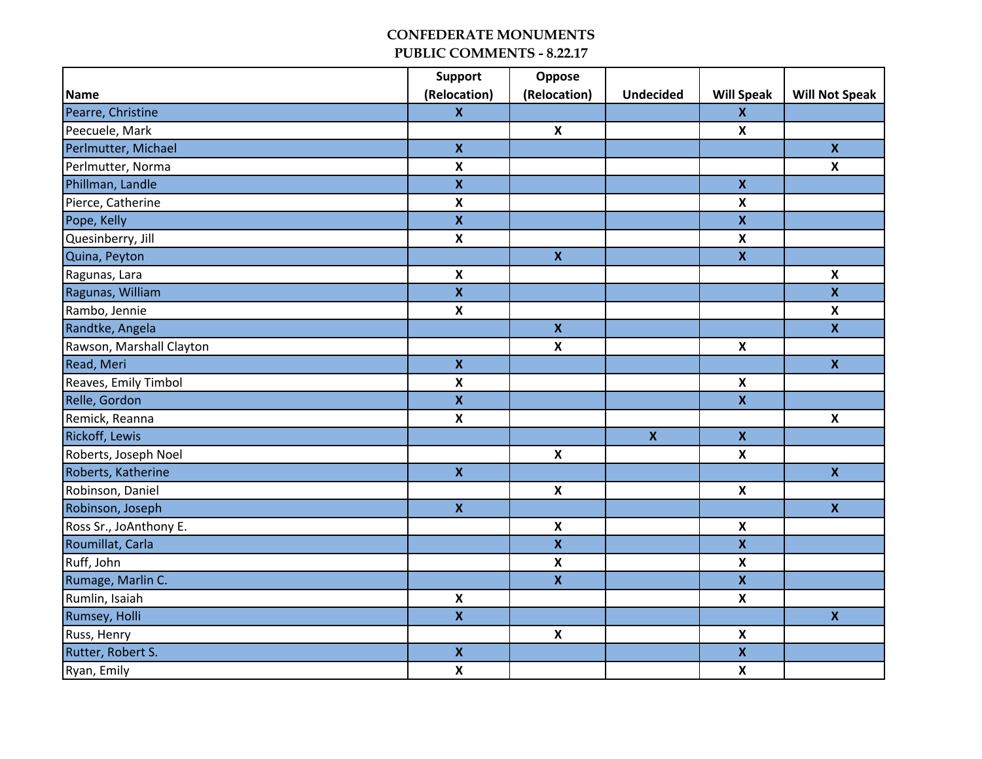|                          | <b>Support</b>            | Oppose                    |                  |                           |                           |
|--------------------------|---------------------------|---------------------------|------------------|---------------------------|---------------------------|
| Name                     | (Relocation)              | (Relocation)              | <b>Undecided</b> | <b>Will Speak</b>         | <b>Will Not Speak</b>     |
| Pearre, Christine        | $\mathbf{x}$              |                           |                  | $\boldsymbol{\mathsf{X}}$ |                           |
| Peecuele, Mark           |                           | $\boldsymbol{\mathsf{X}}$ |                  | $\pmb{\mathsf{X}}$        |                           |
| Perlmutter, Michael      | $\mathbf{x}$              |                           |                  |                           | $\mathbf{x}$              |
| Perlmutter, Norma        | $\pmb{\mathsf{x}}$        |                           |                  |                           | $\boldsymbol{\mathsf{x}}$ |
| Phillman, Landle         | $\pmb{\mathsf{X}}$        |                           |                  | $\mathbf x$               |                           |
| Pierce, Catherine        | $\pmb{\mathsf{X}}$        |                           |                  | $\boldsymbol{\mathsf{x}}$ |                           |
| Pope, Kelly              | $\overline{\mathbf{X}}$   |                           |                  | $\mathbf x$               |                           |
| Quesinberry, Jill        | $\boldsymbol{\mathsf{x}}$ |                           |                  | $\boldsymbol{\mathsf{x}}$ |                           |
| Quina, Peyton            |                           | $\mathbf{X}$              |                  | $\pmb{\mathsf{X}}$        |                           |
| Ragunas, Lara            | $\boldsymbol{\mathsf{x}}$ |                           |                  |                           | $\boldsymbol{\mathsf{x}}$ |
| Ragunas, William         | $\boldsymbol{\mathsf{X}}$ |                           |                  |                           | $\boldsymbol{\mathsf{X}}$ |
| Rambo, Jennie            | $\pmb{\mathsf{X}}$        |                           |                  |                           | $\pmb{\mathsf{X}}$        |
| Randtke, Angela          |                           | $\mathbf{x}$              |                  |                           | $\mathbf x$               |
| Rawson, Marshall Clayton |                           | $\boldsymbol{\mathsf{x}}$ |                  | $\boldsymbol{\mathsf{x}}$ |                           |
| Read, Meri               | $\mathbf{x}$              |                           |                  |                           | $\mathbf x$               |
| Reaves, Emily Timbol     | $\boldsymbol{\mathsf{X}}$ |                           |                  | $\boldsymbol{\mathsf{X}}$ |                           |
| Relle, Gordon            | $\overline{\mathbf{X}}$   |                           |                  | $\overline{\mathbf{X}}$   |                           |
| Remick, Reanna           | $\pmb{\mathsf{X}}$        |                           |                  |                           | $\pmb{\mathsf{X}}$        |
| Rickoff, Lewis           |                           |                           | $\mathbf{x}$     | $\pmb{\mathsf{x}}$        |                           |
| Roberts, Joseph Noel     |                           | $\pmb{\mathsf{X}}$        |                  | $\pmb{\mathsf{X}}$        |                           |
| Roberts, Katherine       | $\pmb{\mathsf{X}}$        |                           |                  |                           | $\mathbf x$               |
| Robinson, Daniel         |                           | $\boldsymbol{\mathsf{X}}$ |                  | $\boldsymbol{\mathsf{x}}$ |                           |
| Robinson, Joseph         | $\mathbf{x}$              |                           |                  |                           | $\mathbf{x}$              |
| Ross Sr., JoAnthony E.   |                           | $\boldsymbol{\mathsf{X}}$ |                  | $\boldsymbol{\mathsf{x}}$ |                           |
| Roumillat, Carla         |                           | $\bar{\mathbf{X}}$        |                  | $\pmb{\mathsf{X}}$        |                           |
| Ruff, John               |                           | $\pmb{\mathsf{X}}$        |                  | $\pmb{\mathsf{X}}$        |                           |
| Rumage, Marlin C.        |                           | $\mathbf{x}$              |                  | $\mathbf x$               |                           |
| Rumlin, Isaiah           | $\pmb{\mathsf{X}}$        |                           |                  | $\boldsymbol{\mathsf{x}}$ |                           |
| Rumsey, Holli            | $\mathbf x$               |                           |                  |                           | $\mathbf{x}$              |
| Russ, Henry              |                           | $\pmb{\mathsf{X}}$        |                  | $\pmb{\mathsf{X}}$        |                           |
| Rutter, Robert S.        | $\pmb{\mathsf{X}}$        |                           |                  | $\pmb{\mathsf{x}}$        |                           |
| Ryan, Emily              | $\boldsymbol{\mathsf{x}}$ |                           |                  | $\pmb{\mathsf{X}}$        |                           |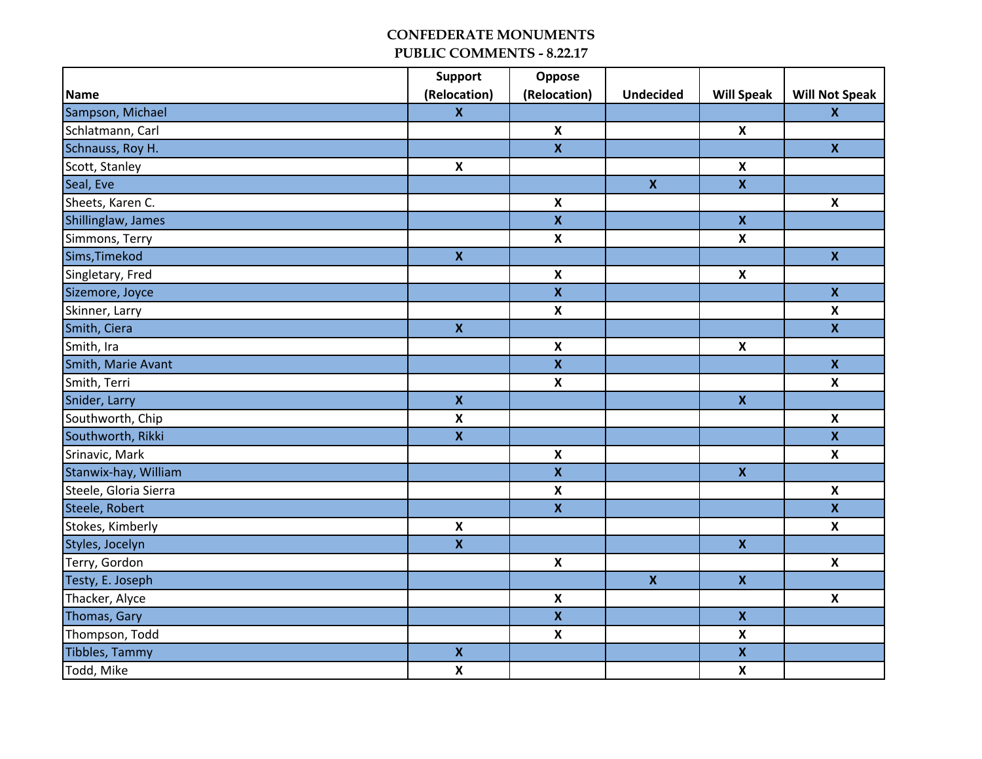|                       | <b>Support</b>          | Oppose                    |                    |                           |                           |
|-----------------------|-------------------------|---------------------------|--------------------|---------------------------|---------------------------|
| Name                  | (Relocation)            | (Relocation)              | <b>Undecided</b>   | <b>Will Speak</b>         | <b>Will Not Speak</b>     |
| Sampson, Michael      | $\mathbf{x}$            |                           |                    |                           | $\mathbf{x}$              |
| Schlatmann, Carl      |                         | $\pmb{\mathsf{X}}$        |                    | $\pmb{\mathsf{X}}$        |                           |
| Schnauss, Roy H.      |                         | $\overline{\mathbf{X}}$   |                    |                           | $\mathbf{x}$              |
| Scott, Stanley        | $\pmb{\mathsf{X}}$      |                           |                    | $\pmb{\mathsf{X}}$        |                           |
| Seal, Eve             |                         |                           | $\mathbf{x}$       | $\pmb{\mathsf{X}}$        |                           |
| Sheets, Karen C.      |                         | $\pmb{\mathsf{X}}$        |                    |                           | $\pmb{\mathsf{X}}$        |
| Shillinglaw, James    |                         | $\overline{\mathbf{x}}$   |                    | $\boldsymbol{\mathsf{X}}$ |                           |
| Simmons, Terry        |                         | $\pmb{\mathsf{X}}$        |                    | $\pmb{\mathsf{X}}$        |                           |
| Sims, Timekod         | $\pmb{\mathsf{X}}$      |                           |                    |                           | $\mathbf{x}$              |
| Singletary, Fred      |                         | $\pmb{\mathsf{X}}$        |                    | $\pmb{\mathsf{X}}$        |                           |
| Sizemore, Joyce       |                         | $\mathbf x$               |                    |                           | $\boldsymbol{\mathsf{x}}$ |
| Skinner, Larry        |                         | $\mathbf x$               |                    |                           | $\boldsymbol{\mathsf{X}}$ |
| Smith, Ciera          | $\overline{\mathbf{x}}$ |                           |                    |                           | $\overline{\mathbf{x}}$   |
| Smith, Ira            |                         | $\pmb{\mathsf{X}}$        |                    | $\boldsymbol{\mathsf{x}}$ |                           |
| Smith, Marie Avant    |                         | $\boldsymbol{\mathsf{X}}$ |                    |                           | $\mathbf{x}$              |
| Smith, Terri          |                         | $\pmb{\mathsf{X}}$        |                    |                           | $\pmb{\mathsf{X}}$        |
| Snider, Larry         | $\overline{\mathbf{x}}$ |                           |                    | $\mathbf{x}$              |                           |
| Southworth, Chip      | $\pmb{\mathsf{X}}$      |                           |                    |                           | $\pmb{\times}$            |
| Southworth, Rikki     | $\mathbf x$             |                           |                    |                           | $\mathbf{x}$              |
| Srinavic, Mark        |                         | $\pmb{\mathsf{X}}$        |                    |                           | $\boldsymbol{\mathsf{X}}$ |
| Stanwix-hay, William  |                         | $\pmb{\mathsf{X}}$        |                    | $\pmb{\mathsf{X}}$        |                           |
| Steele, Gloria Sierra |                         | $\pmb{\mathsf{X}}$        |                    |                           | $\pmb{\times}$            |
| Steele, Robert        |                         | $\mathbf{x}$              |                    |                           | $\boldsymbol{\mathsf{x}}$ |
| Stokes, Kimberly      | $\pmb{\mathsf{X}}$      |                           |                    |                           | $\pmb{\mathsf{X}}$        |
| Styles, Jocelyn       | $\overline{\mathbf{x}}$ |                           |                    | $\pmb{\mathsf{X}}$        |                           |
| Terry, Gordon         |                         | $\pmb{\mathsf{X}}$        |                    |                           | $\pmb{\mathsf{X}}$        |
| Testy, E. Joseph      |                         |                           | $\pmb{\mathsf{X}}$ | $\pmb{\mathsf{X}}$        |                           |
| Thacker, Alyce        |                         | $\pmb{\mathsf{X}}$        |                    |                           | $\pmb{\mathsf{X}}$        |
| Thomas, Gary          |                         | $\mathbf{x}$              |                    | $\pmb{\mathsf{x}}$        |                           |
| Thompson, Todd        |                         | $\mathsf{X}$              |                    | $\pmb{\mathsf{X}}$        |                           |
| Tibbles, Tammy        | $\pmb{\mathsf{X}}$      |                           |                    | $\pmb{\mathsf{X}}$        |                           |
| Todd, Mike            | $\pmb{\mathsf{X}}$      |                           |                    | $\pmb{\mathsf{X}}$        |                           |